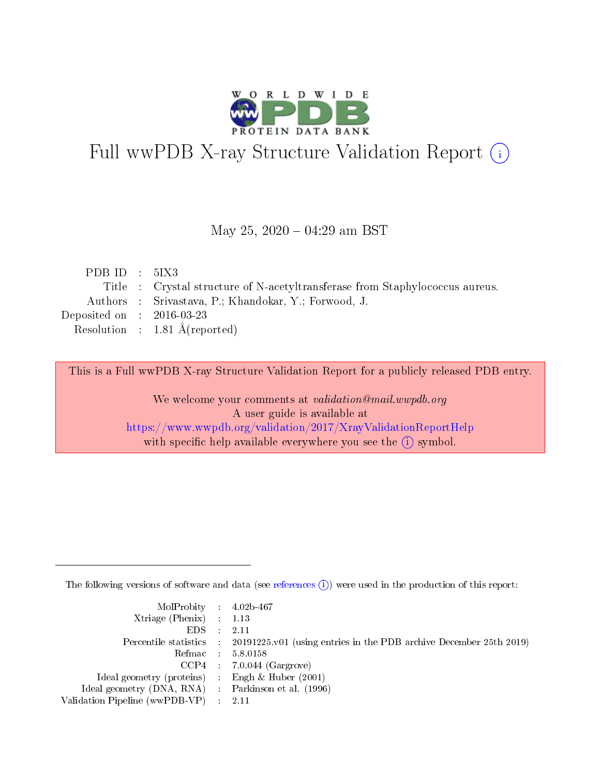

# Full wwPDB X-ray Structure Validation Report (i)

#### May 25,  $2020 - 04:29$  am BST

| PDB ID : $5IX3$             |                                                                              |
|-----------------------------|------------------------------------------------------------------------------|
|                             | Title : Crystal structure of N-acetyltransferase from Staphylococcus aureus. |
|                             | Authors : Srivastava, P.; Khandokar, Y.; Forwood, J.                         |
| Deposited on : $2016-03-23$ |                                                                              |
|                             | Resolution : $1.81 \text{ Å}$ (reported)                                     |
|                             |                                                                              |

This is a Full wwPDB X-ray Structure Validation Report for a publicly released PDB entry.

We welcome your comments at validation@mail.wwpdb.org A user guide is available at <https://www.wwpdb.org/validation/2017/XrayValidationReportHelp> with specific help available everywhere you see the  $(i)$  symbol.

The following versions of software and data (see [references](https://www.wwpdb.org/validation/2017/XrayValidationReportHelp#references)  $(i)$ ) were used in the production of this report:

| MolProbity : 4.02b-467                              |                                                                                            |
|-----------------------------------------------------|--------------------------------------------------------------------------------------------|
| $Xtriangle (Phenix)$ : 1.13                         |                                                                                            |
| $EDS = 2.11$                                        |                                                                                            |
|                                                     | Percentile statistics : 20191225.v01 (using entries in the PDB archive December 25th 2019) |
|                                                     | Refmac : 5.8.0158                                                                          |
|                                                     | $CCP4$ : 7.0.044 (Gargrove)                                                                |
| Ideal geometry (proteins) : Engh $\&$ Huber (2001)  |                                                                                            |
| Ideal geometry (DNA, RNA) : Parkinson et al. (1996) |                                                                                            |
| Validation Pipeline (wwPDB-VP) : 2.11               |                                                                                            |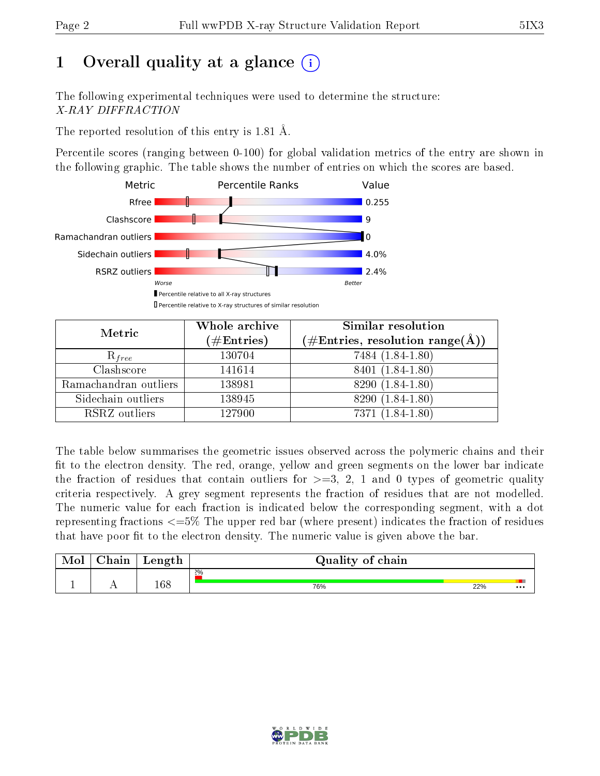# 1 [O](https://www.wwpdb.org/validation/2017/XrayValidationReportHelp#overall_quality)verall quality at a glance  $(i)$

The following experimental techniques were used to determine the structure: X-RAY DIFFRACTION

The reported resolution of this entry is 1.81 Å.

Percentile scores (ranging between 0-100) for global validation metrics of the entry are shown in the following graphic. The table shows the number of entries on which the scores are based.



| Metric                | Whole archive       | Similar resolution                                                        |
|-----------------------|---------------------|---------------------------------------------------------------------------|
|                       | (# $\rm{Entries}$ ) | $(\#\text{Entries},\,\text{resolution}\,\,\text{range}(\textup{\AA})\, )$ |
| $R_{free}$            | 130704              | 7484 (1.84-1.80)                                                          |
| Clashscore            | 141614              | 8401 (1.84-1.80)                                                          |
| Ramachandran outliers | 138981              | 8290 (1.84-1.80)                                                          |
| Sidechain outliers    | 138945              | 8290 (1.84-1.80)                                                          |
| RSRZ outliers         | 127900              | 7371 (1.84-1.80)                                                          |

The table below summarises the geometric issues observed across the polymeric chains and their fit to the electron density. The red, orange, yellow and green segments on the lower bar indicate the fraction of residues that contain outliers for  $>=3, 2, 1$  and 0 types of geometric quality criteria respectively. A grey segment represents the fraction of residues that are not modelled. The numeric value for each fraction is indicated below the corresponding segment, with a dot representing fractions  $\epsilon=5\%$  The upper red bar (where present) indicates the fraction of residues that have poor fit to the electron density. The numeric value is given above the bar.

| Mol | $\cap$ hain | Length | Quality of chain |     |          |
|-----|-------------|--------|------------------|-----|----------|
|     |             |        | $2\%$            |     |          |
|     |             | 168    | 76%              | 22% | $\cdots$ |

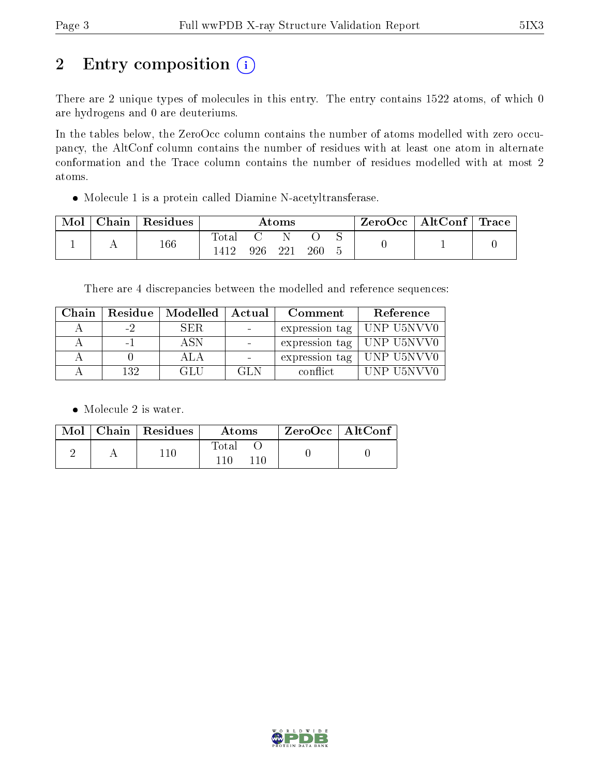# 2 Entry composition (i)

There are 2 unique types of molecules in this entry. The entry contains 1522 atoms, of which 0 are hydrogens and 0 are deuteriums.

In the tables below, the ZeroOcc column contains the number of atoms modelled with zero occupancy, the AltConf column contains the number of residues with at least one atom in alternate conformation and the Trace column contains the number of residues modelled with at most 2 atoms.

Molecule 1 is a protein called Diamine N-acetyltransferase.

| Mol | Chain   Residues | Atoms            |      |     |     |  | $\text{ZeroOcc} \mid \text{AltConf} \mid \text{Trace}$ |  |
|-----|------------------|------------------|------|-----|-----|--|--------------------------------------------------------|--|
|     | 166              | $\mathrm{Total}$ | 926. | 221 | 260 |  |                                                        |  |

There are 4 discrepancies between the modelled and reference sequences:

| Chain |      | Residue   Modelled   Actual |      | Comment        | Reference                         |
|-------|------|-----------------------------|------|----------------|-----------------------------------|
|       | $-2$ | <b>SER</b>                  |      | expression tag | UNP U5NVV0                        |
|       |      | A SN                        |      |                | expression tag $\vert$ UNP U5NVV0 |
|       |      |                             |      |                | expression tag $\vert$ UNP U5NVV0 |
|       | 132  | -GL H                       | GL N | conflict.      | UNP U5NVV0                        |

• Molecule 2 is water.

|  | $Mol$   Chain   Residues | Atoms          | $\,$ $\,$ ZeroOcc $\,$ $\,$ AltConf $\,$ |  |
|--|--------------------------|----------------|------------------------------------------|--|
|  | 110                      | Total<br>110 I |                                          |  |

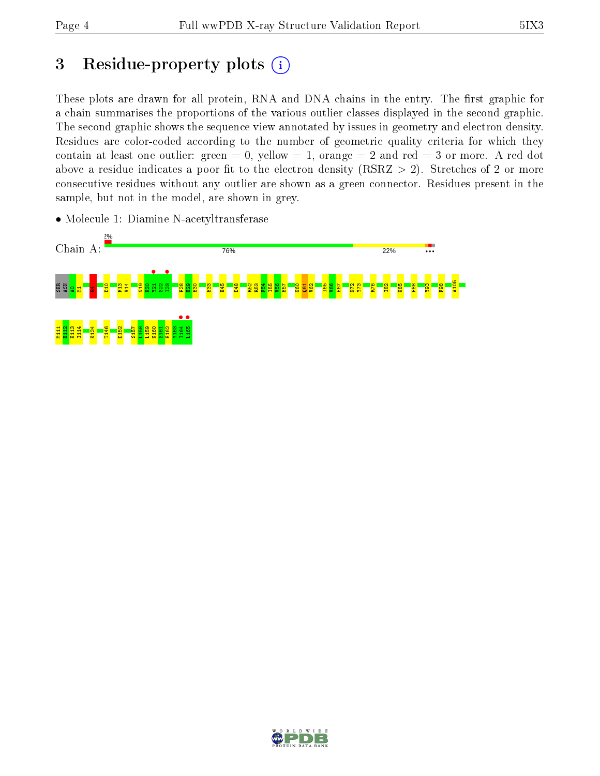# 3 Residue-property plots  $(i)$

These plots are drawn for all protein, RNA and DNA chains in the entry. The first graphic for a chain summarises the proportions of the various outlier classes displayed in the second graphic. The second graphic shows the sequence view annotated by issues in geometry and electron density. Residues are color-coded according to the number of geometric quality criteria for which they contain at least one outlier: green  $= 0$ , yellow  $= 1$ , orange  $= 2$  and red  $= 3$  or more. A red dot above a residue indicates a poor fit to the electron density (RSRZ  $> 2$ ). Stretches of 2 or more consecutive residues without any outlier are shown as a green connector. Residues present in the sample, but not in the model, are shown in grey.



• Molecule 1: Diamine N-acetyltransferase

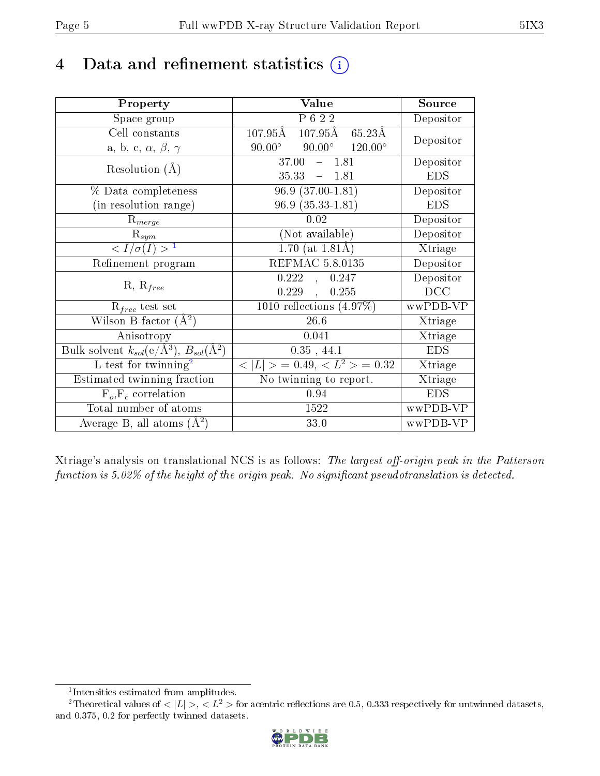## 4 Data and refinement statistics  $(i)$

| Property                                                         | Value                                                   | Source     |
|------------------------------------------------------------------|---------------------------------------------------------|------------|
| Space group                                                      | $\overline{P622}$                                       | Depositor  |
| Cell constants                                                   | $107.95\text{\AA}$ $107.95\text{\AA}$ $65.23\text{\AA}$ | Depositor  |
| a, b, c, $\alpha$ , $\beta$ , $\gamma$                           | $90.00^{\circ}$ $120.00^{\circ}$<br>$90.00^{\circ}$     |            |
| Resolution $(A)$                                                 | 37.00<br>$-1.81$                                        | Depositor  |
|                                                                  | $35.33 - 1.81$                                          | <b>EDS</b> |
| % Data completeness                                              | $96.9(37.00-1.81)$                                      | Depositor  |
| (in resolution range)                                            | $96.9(35.33-1.81)$                                      | <b>EDS</b> |
| $R_{merge}$                                                      | 0.02                                                    | Depositor  |
| $\mathrm{R}_{sym}$                                               | (Not available)                                         | Depositor  |
| $\langle I/\sigma(I) \rangle^{-1}$                               | $1.70$ (at $1.81\text{\AA}$ )                           | Xtriage    |
| Refinement program                                               | <b>REFMAC 5.8.0135</b>                                  | Depositor  |
|                                                                  | 0.222<br>0.247<br>$\ddot{\phantom{1}}$                  | Depositor  |
| $R, R_{free}$                                                    | 0.229<br>0.255<br>$\mathcal{L}_{\mathbf{r}}$            | DCC        |
| $R_{free}$ test set                                              | 1010 reflections $(4.97\%)$                             | wwPDB-VP   |
| Wilson B-factor $(A^2)$                                          | 26.6                                                    | Xtriage    |
| Anisotropy                                                       | 0.041                                                   | Xtriage    |
| Bulk solvent $k_{sol}(\text{e}/\text{A}^3), B_{sol}(\text{A}^2)$ | 0.35, 44.1                                              | <b>EDS</b> |
| L-test for $\mathrm{twinning}^2$                                 | $< L >$ = 0.49, $< L^2 >$ = 0.32                        | Xtriage    |
| Estimated twinning fraction                                      | No twinning to report.                                  | Xtriage    |
| $F_o, F_c$ correlation                                           | 0.94                                                    | <b>EDS</b> |
| Total number of atoms                                            | 1522                                                    | wwPDB-VP   |
| Average B, all atoms $(A^2)$                                     | 33.0                                                    | wwPDB-VP   |

Xtriage's analysis on translational NCS is as follows: The largest off-origin peak in the Patterson function is  $5.02\%$  of the height of the origin peak. No significant pseudotranslation is detected.

<sup>&</sup>lt;sup>2</sup>Theoretical values of  $\langle |L| \rangle$ ,  $\langle L^2 \rangle$  for acentric reflections are 0.5, 0.333 respectively for untwinned datasets, and 0.375, 0.2 for perfectly twinned datasets.



<span id="page-4-1"></span><span id="page-4-0"></span><sup>1</sup> Intensities estimated from amplitudes.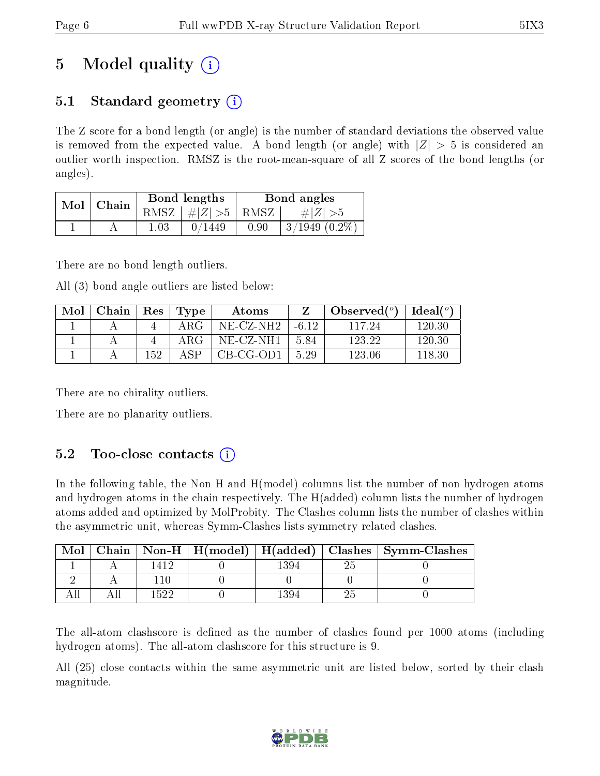# 5 Model quality  $(i)$

## 5.1 Standard geometry  $\overline{()}$

The Z score for a bond length (or angle) is the number of standard deviations the observed value is removed from the expected value. A bond length (or angle) with  $|Z| > 5$  is considered an outlier worth inspection. RMSZ is the root-mean-square of all Z scores of the bond lengths (or angles).

| Mol | Chain |      | Bond lengths | Bond angles |                  |  |
|-----|-------|------|--------------|-------------|------------------|--|
|     |       | RMSZ | $\# Z  > 5$  | RMSZ        | $\# Z  > 5$      |  |
|     |       | 1.03 | 449 ^        | 0.90        | $3/1949$ (0.2\%) |  |

There are no bond length outliers.

All (3) bond angle outliers are listed below:

| Mol | Chain   Res |     | Type       | Atoms        |         | $\lambda$ Observed $(°)$ | Ideal( $^o$ ) |
|-----|-------------|-----|------------|--------------|---------|--------------------------|---------------|
|     |             |     | $\rm{ARG}$ | $NE- CZ-NH2$ | $-6.12$ | 117.24                   | 120.30        |
|     |             |     | ARG.       | $NE- CZ-NH1$ | 5.84    | 123.22                   | 120.30        |
|     |             | 152 |            | CB-CG-OD1    | 5.29    | 123.06                   | 118.30        |

There are no chirality outliers.

There are no planarity outliers.

## 5.2 Too-close contacts  $(i)$

In the following table, the Non-H and H(model) columns list the number of non-hydrogen atoms and hydrogen atoms in the chain respectively. The H(added) column lists the number of hydrogen atoms added and optimized by MolProbity. The Clashes column lists the number of clashes within the asymmetric unit, whereas Symm-Clashes lists symmetry related clashes.

| Mol |      |      | Chain   Non-H   H(model)   H(added)   Clashes   Symm-Clashes |
|-----|------|------|--------------------------------------------------------------|
|     |      | 1394 |                                                              |
|     |      |      |                                                              |
|     | 1522 | 1394 |                                                              |

The all-atom clashscore is defined as the number of clashes found per 1000 atoms (including hydrogen atoms). The all-atom clashscore for this structure is 9.

All (25) close contacts within the same asymmetric unit are listed below, sorted by their clash magnitude.

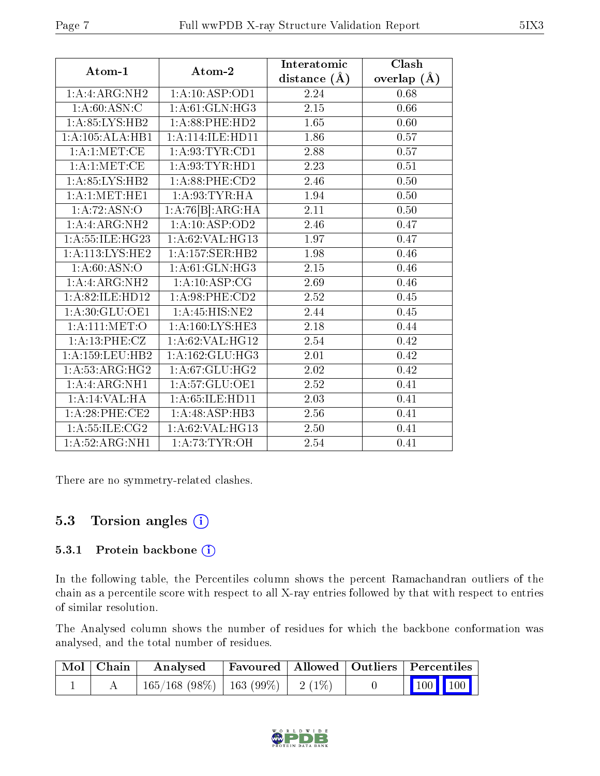|                             |                    | Interatomic    | Clash           |
|-----------------------------|--------------------|----------------|-----------------|
| Atom-1                      | Atom-2             | distance $(A)$ | overlap $(\AA)$ |
| 1:A:ARG:NH2                 | 1:A:10:ASP:OD1     | 2.24           | 0.68            |
| 1: A:60: ASN:C              | 1: A:61: GLN: HG3  | 2.15           | 0.66            |
| 1: A:85:LYS:HB2             | 1: A:88: PHE:HD2   | 1.65           | 0.60            |
| 1:A:105:ALA:HB1             | 1:A:114:ILE:HD11   | 1.86           | 0.57            |
| 1: A:1: MET:CE              | 1: A:93: TYR: CD1  | 2.88           | 0.57            |
| 1: A:1: MET:CE              | 1: A:93: TYR: HD1  | 2.23           | 0.51            |
| 1: A:85: LYS:HB2            | 1:A:88:PHE:CD2     | 2.46           | $0.50\,$        |
| 1:A:1:MET:HE1               | 1: A:93:TYR:HA     | 1.94           | 0.50            |
| 1:A:72:ASN:O                | 1:A:76[B]:ARG:HA   | 2.11           | $0.50\,$        |
| 1:A:ARG:NH2                 | 1:A:10:ASP:OD2     | 2.46           | 0.47            |
| 1:A:55:ILE:HG23             | 1:A:62:VAL:HG13    | 1.97           | 0.47            |
| 1:A:113:LYS:HE2             | 1:A:157:SER:HB2    | 1.98           | 0.46            |
| 1: A:60: ASN:O              | 1: A:61: GLN: HG3  | 2.15           | 0.46            |
| 1:A:ARG:NH2                 | 1:A:10:ASP:CG      | 2.69           | 0.46            |
| 1:A:82:ILE:HD12             | 1:A:98:PHE:CD2     | 2.52           | 0.45            |
| 1: A:30: GLU:OE1            | 1:A:45:HIS:NE2     | 2.44           | 0.45            |
| 1: A: 111:MET:O             | 1: A:160: LYS: HE3 | 2.18           | 0.44            |
| 1:A:13:PHE:CZ               | 1: A:62: VAL:HG12  | 2.54           | 0.42            |
| 1:A:159:LEU:HB2             | 1: A:162: GLU:HG3  | 2.01           | 0.42            |
| $1:A:53:A\overline{RG:HG2}$ | 1: A:67: GLU: HG2  | 2.02           | 0.42            |
| 1:A:ARG:NH1                 | 1: A:57: GLU:OE1   | 2.52           | 0.41            |
| 1:A:14:VAL:HA               | 1: A:65: ILE: HD11 | 2.03           | 0.41            |
| 1:A:28:PHE:CE2              | 1:A:48:ASP:HB3     | 2.56           | 0.41            |
| 1: A: 55: ILE: CG2          | 1:A:62:VAL:HG13    | 2.50           | 0.41            |
| 1: A:52: ARG:NH1            | 1: A:73:TYR:OH     | 2.54           | 0.41            |

There are no symmetry-related clashes.

## 5.3 Torsion angles (i)

#### 5.3.1 Protein backbone (i)

In the following table, the Percentiles column shows the percent Ramachandran outliers of the chain as a percentile score with respect to all X-ray entries followed by that with respect to entries of similar resolution.

The Analysed column shows the number of residues for which the backbone conformation was analysed, and the total number of residues.

| $\mid$ Mol $\mid$ Chain $\mid$ | Analysed                                | Favoured   Allowed   Outliers   Percentiles |  |                         |
|--------------------------------|-----------------------------------------|---------------------------------------------|--|-------------------------|
|                                | $165/168$ (98\%)   163 (99\%)   2 (1\%) |                                             |  | $\vert$ 100 100 $\vert$ |

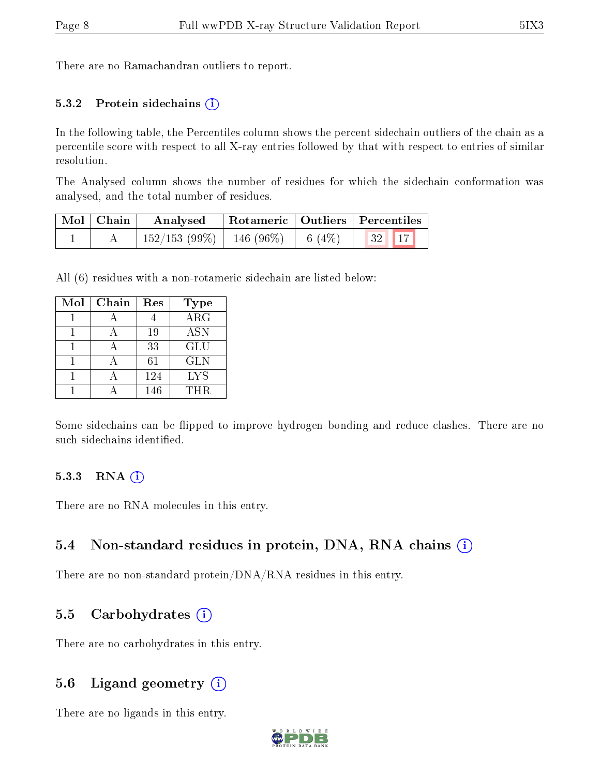There are no Ramachandran outliers to report.

#### 5.3.2 Protein sidechains  $(i)$

In the following table, the Percentiles column shows the percent sidechain outliers of the chain as a percentile score with respect to all X-ray entries followed by that with respect to entries of similar resolution.

The Analysed column shows the number of residues for which the sidechain conformation was analysed, and the total number of residues.

| Mol   Chain | Analysed                                |  | Rotameric   Outliers   Percentiles |
|-------------|-----------------------------------------|--|------------------------------------|
|             | $152/153$ (99\%)   146 (96\%)   6 (4\%) |  | $\vert 32 \vert \vert 17 \vert$    |

All (6) residues with a non-rotameric sidechain are listed below:

| Mol | Chain | Res | Type       |
|-----|-------|-----|------------|
|     |       |     | $\rm{ARG}$ |
|     |       | 19  | <b>ASN</b> |
|     |       | 33  | <b>GLU</b> |
|     |       | 61  | <b>GLN</b> |
|     |       | 124 | <b>LYS</b> |
|     |       | 146 | <b>THR</b> |

Some sidechains can be flipped to improve hydrogen bonding and reduce clashes. There are no such sidechains identified.

#### $5.3.3$  RNA  $(i)$

There are no RNA molecules in this entry.

#### 5.4 Non-standard residues in protein, DNA, RNA chains  $(i)$

There are no non-standard protein/DNA/RNA residues in this entry.

#### 5.5 Carbohydrates  $(i)$

There are no carbohydrates in this entry.

#### 5.6 Ligand geometry  $(i)$

There are no ligands in this entry.

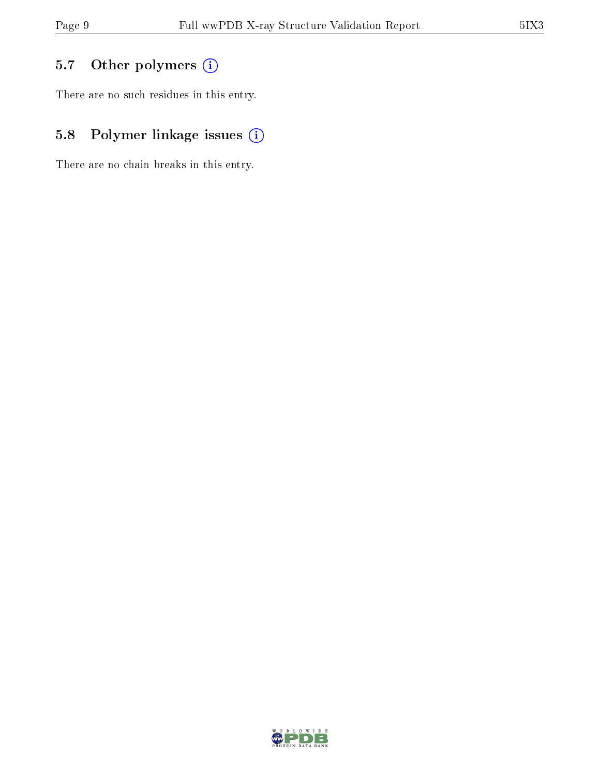## 5.7 [O](https://www.wwpdb.org/validation/2017/XrayValidationReportHelp#nonstandard_residues_and_ligands)ther polymers (i)

There are no such residues in this entry.

## 5.8 Polymer linkage issues (i)

There are no chain breaks in this entry.